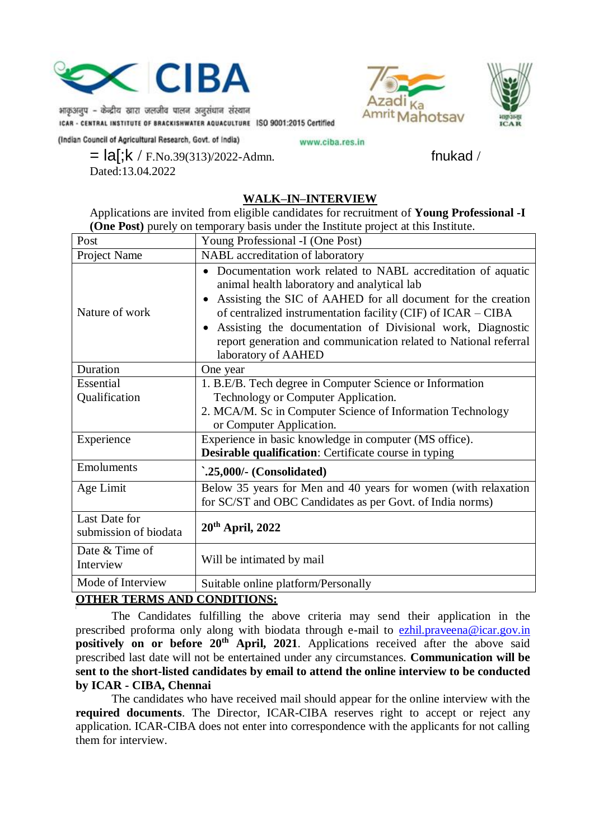

भाकुअनुप – केन्द्रीय खारा जलजीव पालन अनुसंधान संस्थान ICAR - CENTRAL INSTITUTE OF BRACKISHWATER AQUACULTURE ISO 9001:2015 Certified



(Indian Council of Agricultural Research, Govt. of India)

www.ciba.res.in

 $=$   $\text{la}$ [;k / F.No.39(313)/2022-Admn. fnukad / Dated:13.04.2022

## **WALK–IN–INTERVIEW**

Applications are invited from eligible candidates for recruitment of **Young Professional -I (One Post)** purely on temporary basis under the Institute project at this Institute.

| Post                        | Young Professional -I (One Post)                                                                                                                                                                                                                                                                                                                                                                    |  |
|-----------------------------|-----------------------------------------------------------------------------------------------------------------------------------------------------------------------------------------------------------------------------------------------------------------------------------------------------------------------------------------------------------------------------------------------------|--|
| Project Name                | NABL accreditation of laboratory                                                                                                                                                                                                                                                                                                                                                                    |  |
| Nature of work              | Documentation work related to NABL accreditation of aquatic<br>animal health laboratory and analytical lab<br>Assisting the SIC of AAHED for all document for the creation<br>of centralized instrumentation facility (CIF) of ICAR - CIBA<br>Assisting the documentation of Divisional work, Diagnostic<br>report generation and communication related to National referral<br>laboratory of AAHED |  |
| Duration                    | One year                                                                                                                                                                                                                                                                                                                                                                                            |  |
| Essential                   | 1. B.E/B. Tech degree in Computer Science or Information                                                                                                                                                                                                                                                                                                                                            |  |
| Qualification               | Technology or Computer Application.                                                                                                                                                                                                                                                                                                                                                                 |  |
|                             | 2. MCA/M. Sc in Computer Science of Information Technology<br>or Computer Application.                                                                                                                                                                                                                                                                                                              |  |
| Experience                  | Experience in basic knowledge in computer (MS office).                                                                                                                                                                                                                                                                                                                                              |  |
|                             | <b>Desirable qualification:</b> Certificate course in typing                                                                                                                                                                                                                                                                                                                                        |  |
| Emoluments                  | `.25,000/- (Consolidated)                                                                                                                                                                                                                                                                                                                                                                           |  |
| Age Limit                   | Below 35 years for Men and 40 years for women (with relaxation                                                                                                                                                                                                                                                                                                                                      |  |
|                             | for SC/ST and OBC Candidates as per Govt. of India norms)                                                                                                                                                                                                                                                                                                                                           |  |
| Last Date for               | $20th$ April, 2022                                                                                                                                                                                                                                                                                                                                                                                  |  |
| submission of biodata       |                                                                                                                                                                                                                                                                                                                                                                                                     |  |
| Date & Time of<br>Interview | Will be intimated by mail                                                                                                                                                                                                                                                                                                                                                                           |  |
| Mode of Interview           | Suitable online platform/Personally                                                                                                                                                                                                                                                                                                                                                                 |  |

#### **OTHER TERMS AND CONDITIONS:** [

The Candidates fulfilling the above criteria may send their application in the prescribed proforma only along with biodata through e-mail to [ezhil.praveena@icar.gov.in](mailto:ezhil.praveena@icar.gov.in) **positively** on or before 20<sup>th</sup> April, 2021. Applications received after the above said prescribed last date will not be entertained under any circumstances. **Communication will be sent to the short-listed candidates by email to attend the online interview to be conducted by ICAR - CIBA, Chennai**

The candidates who have received mail should appear for the online interview with the **required documents**. The Director, ICAR-CIBA reserves right to accept or reject any application. ICAR-CIBA does not enter into correspondence with the applicants for not calling them for interview.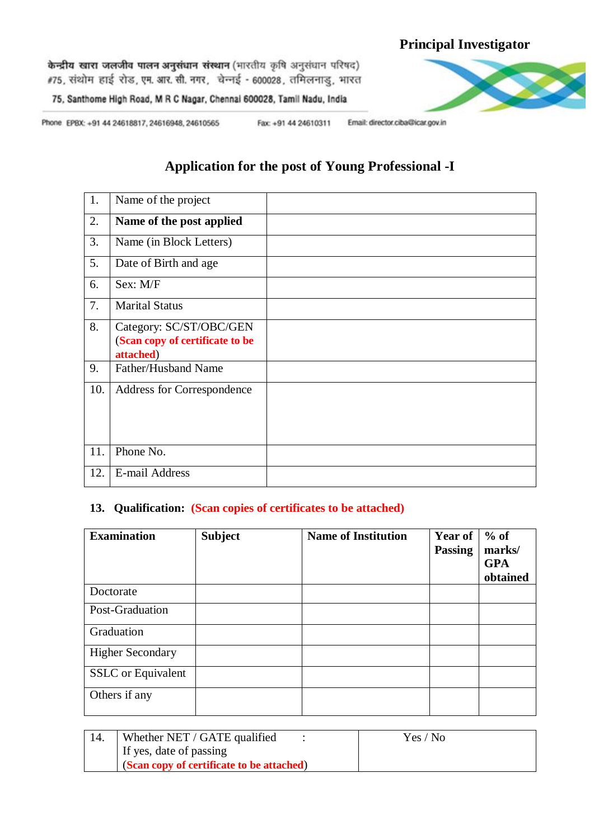# **Principal Investigator**

केन्द्रीय खारा जलजीव पालन अनुसंधान संस्थान (भारतीय कृषि अनुसंधान परिषद) #75, संथोम हाई रोड, एम. आर. सी. नगर, चेन्नई - 600028, तमिलनाडु, भारत



75, Santhome High Road, M R C Nagar, Chennal 600028, Tamil Nadu, India

Phone EPBX: +91 44 24618817, 24616948, 24610565

Fax: +91 44 24610311 Email: director.ciba@icar.gov.in

# **Application for the post of Young Professional -I**

| 1.  | Name of the project                                                     |  |
|-----|-------------------------------------------------------------------------|--|
| 2.  | Name of the post applied                                                |  |
| 3.  | Name (in Block Letters)                                                 |  |
| 5.  | Date of Birth and age                                                   |  |
| 6.  | Sex: M/F                                                                |  |
| 7.  | <b>Marital Status</b>                                                   |  |
| 8.  | Category: SC/ST/OBC/GEN<br>(Scan copy of certificate to be<br>attached) |  |
| 9.  | Father/Husband Name                                                     |  |
| 10. | Address for Correspondence                                              |  |
| 11. | Phone No.                                                               |  |
| 12. | E-mail Address                                                          |  |

## **13. Qualification: (Scan copies of certificates to be attached)**

| <b>Examination</b>        | <b>Subject</b> | <b>Name of Institution</b> | <b>Year of</b><br><b>Passing</b> | $%$ of<br>marks/<br><b>GPA</b><br>obtained |
|---------------------------|----------------|----------------------------|----------------------------------|--------------------------------------------|
| Doctorate                 |                |                            |                                  |                                            |
| Post-Graduation           |                |                            |                                  |                                            |
| Graduation                |                |                            |                                  |                                            |
| <b>Higher Secondary</b>   |                |                            |                                  |                                            |
| <b>SSLC</b> or Equivalent |                |                            |                                  |                                            |
| Others if any             |                |                            |                                  |                                            |

| Whether NET / GATE qualified              | Yes / No |
|-------------------------------------------|----------|
| If yes, date of passing                   |          |
| (Scan copy of certificate to be attached) |          |